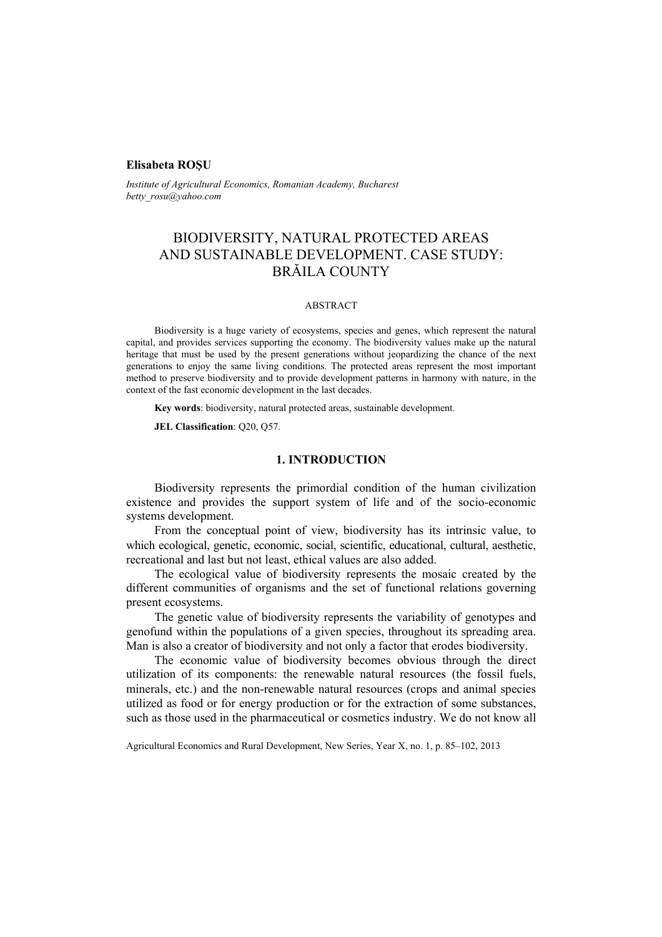### **Elisabeta ROŞU**

*Institute of Agricultural Economics, Romanian Academy, Bucharest betty\_rosu@yahoo.com* 

# BIODIVERSITY, NATURAL PROTECTED AREAS AND SUSTAINABLE DEVELOPMENT. CASE STUDY: BRĂILA COUNTY

#### ABSTRACT

Biodiversity is a huge variety of ecosystems, species and genes, which represent the natural capital, and provides services supporting the economy. The biodiversity values make up the natural heritage that must be used by the present generations without jeopardizing the chance of the next generations to enjoy the same living conditions. The protected areas represent the most important method to preserve biodiversity and to provide development patterns in harmony with nature, in the context of the fast economic development in the last decades.

**Key words**: biodiversity, natural protected areas, sustainable development*.*

**JEL Classification**: Q20, Q57.

## **1. INTRODUCTION**

Biodiversity represents the primordial condition of the human civilization existence and provides the support system of life and of the socio-economic systems development.

From the conceptual point of view, biodiversity has its intrinsic value, to which ecological, genetic, economic, social, scientific, educational, cultural, aesthetic, recreational and last but not least, ethical values are also added.

The ecological value of biodiversity represents the mosaic created by the different communities of organisms and the set of functional relations governing present ecosystems.

The genetic value of biodiversity represents the variability of genotypes and genofund within the populations of a given species, throughout its spreading area. Man is also a creator of biodiversity and not only a factor that erodes biodiversity.

The economic value of biodiversity becomes obvious through the direct utilization of its components: the renewable natural resources (the fossil fuels, minerals, etc.) and the non-renewable natural resources (crops and animal species utilized as food or for energy production or for the extraction of some substances, such as those used in the pharmaceutical or cosmetics industry. We do not know all

Agricultural Economics and Rural Development, New Series, Year X, no. 1, p. 85–102, 2013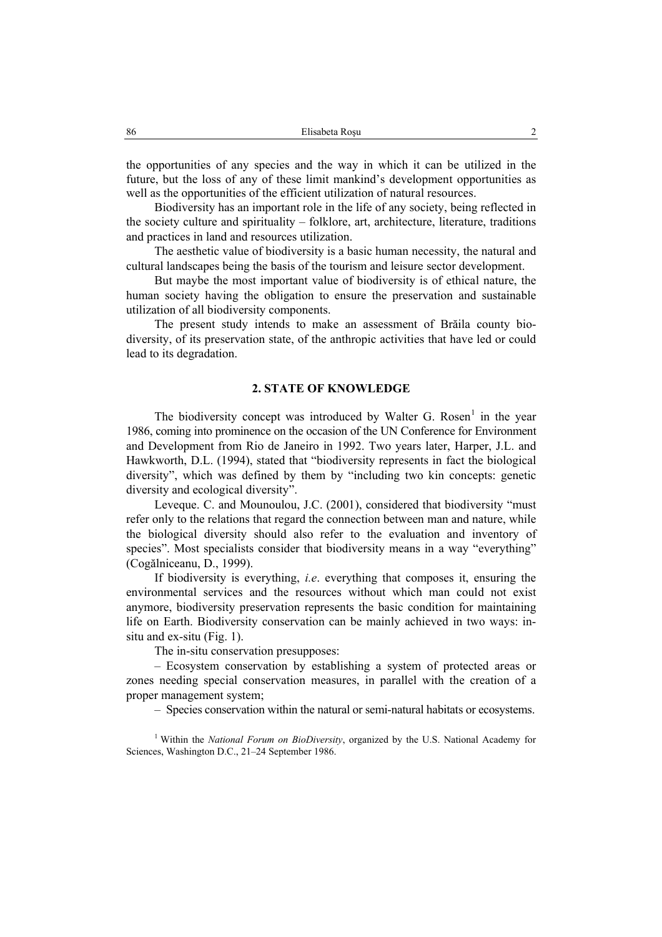the opportunities of any species and the way in which it can be utilized in the future, but the loss of any of these limit mankind's development opportunities as well as the opportunities of the efficient utilization of natural resources.

Biodiversity has an important role in the life of any society, being reflected in the society culture and spirituality – folklore, art, architecture, literature, traditions and practices in land and resources utilization.

The aesthetic value of biodiversity is a basic human necessity, the natural and cultural landscapes being the basis of the tourism and leisure sector development.

But maybe the most important value of biodiversity is of ethical nature, the human society having the obligation to ensure the preservation and sustainable utilization of all biodiversity components.

The present study intends to make an assessment of Brăila county biodiversity, of its preservation state, of the anthropic activities that have led or could lead to its degradation.

## **2. STATE OF KNOWLEDGE**

The biodiversity concept was introduced by Walter G. Rosen<sup>1</sup> in the year 1986, coming into prominence on the occasion of the UN Conference for Environment and Development from Rio de Janeiro in 1992. Two years later, Harper, J.L. and Hawkworth, D.L. (1994), stated that "biodiversity represents in fact the biological diversity", which was defined by them by "including two kin concepts: genetic diversity and ecological diversity".

Leveque. C. and Mounoulou, J.C. (2001), considered that biodiversity "must refer only to the relations that regard the connection between man and nature, while the biological diversity should also refer to the evaluation and inventory of species". Most specialists consider that biodiversity means in a way "everything" (Cogălniceanu, D., 1999).

If biodiversity is everything, *i.e*. everything that composes it, ensuring the environmental services and the resources without which man could not exist anymore, biodiversity preservation represents the basic condition for maintaining life on Earth. Biodiversity conservation can be mainly achieved in two ways: insitu and ex-situ (Fig. 1).

The in-situ conservation presupposes:

– Ecosystem conservation by establishing a system of protected areas or zones needing special conservation measures, in parallel with the creation of a proper management system;

– Species conservation within the natural or semi-natural habitats or ecosystems.

<sup>1</sup> Within the *National Forum on BioDiversity*, organized by the U.S. National Academy for Sciences, Washington D.C., 21–24 September 1986.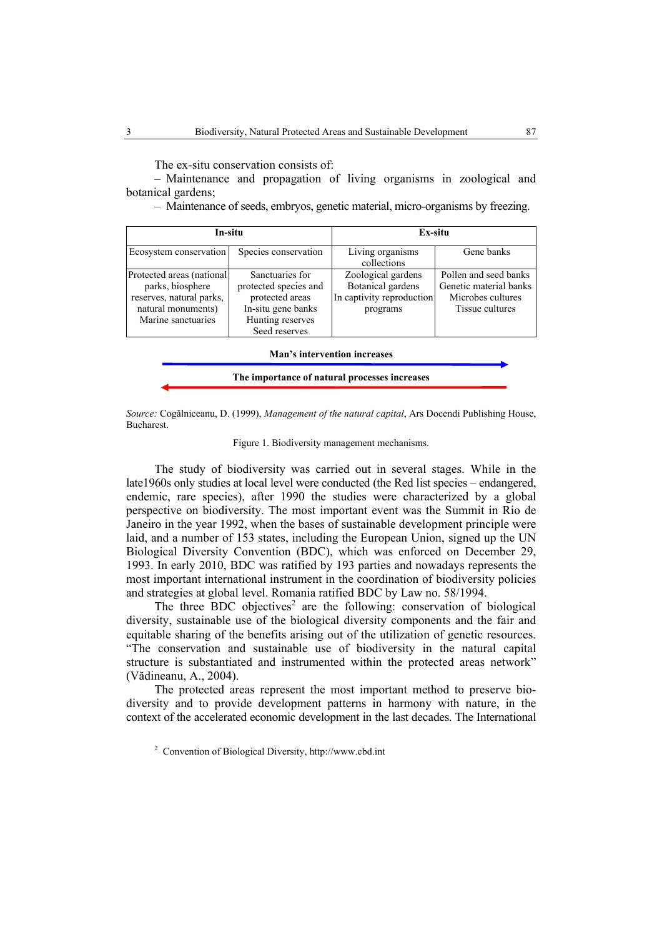The ex-situ conservation consists of:

– Maintenance and propagation of living organisms in zoological and botanical gardens;

– Maintenance of seeds, embryos, genetic material, micro-organisms by freezing.

| In-situ                                                                                                                |                                                                                                                                                     | Ex-situ                         |                                                                                         |  |  |
|------------------------------------------------------------------------------------------------------------------------|-----------------------------------------------------------------------------------------------------------------------------------------------------|---------------------------------|-----------------------------------------------------------------------------------------|--|--|
| Ecosystem conservation                                                                                                 | Species conservation                                                                                                                                | Living organisms<br>collections | Gene banks                                                                              |  |  |
| Protected areas (national)<br>parks, biosphere<br>reserves, natural parks,<br>natural monuments)<br>Marine sanctuaries | Sanctuaries for<br>protected species and<br>In captivity reproduction<br>protected areas<br>In-situ gene banks<br>Hunting reserves<br>Seed reserves |                                 | Pollen and seed banks<br>Genetic material banks<br>Microbes cultures<br>Tissue cultures |  |  |
| <b>Man's intervention increases</b>                                                                                    |                                                                                                                                                     |                                 |                                                                                         |  |  |

**The importance of natural processes increases** 

*Source:* Cogălniceanu, D. (1999), *Management of the natural capital*, Ars Docendi Publishing House, Bucharest.

Figure 1. Biodiversity management mechanisms.

The study of biodiversity was carried out in several stages. While in the late1960s only studies at local level were conducted (the Red list species – endangered, endemic, rare species), after 1990 the studies were characterized by a global perspective on biodiversity. The most important event was the Summit in Rio de Janeiro in the year 1992, when the bases of sustainable development principle were laid, and a number of 153 states, including the European Union, signed up the UN Biological Diversity Convention (BDC), which was enforced on December 29, 1993. In early 2010, BDC was ratified by 193 parties and nowadays represents the most important international instrument in the coordination of biodiversity policies and strategies at global level. Romania ratified BDC by Law no. 58/1994.

The three BDC objectives<sup>2</sup> are the following: conservation of biological diversity, sustainable use of the biological diversity components and the fair and equitable sharing of the benefits arising out of the utilization of genetic resources. "The conservation and sustainable use of biodiversity in the natural capital structure is substantiated and instrumented within the protected areas network" (Vădineanu, A., 2004).

The protected areas represent the most important method to preserve biodiversity and to provide development patterns in harmony with nature, in the context of the accelerated economic development in the last decades. The International

<sup>&</sup>lt;sup>2</sup> Convention of Biological Diversity, http://www.cbd.int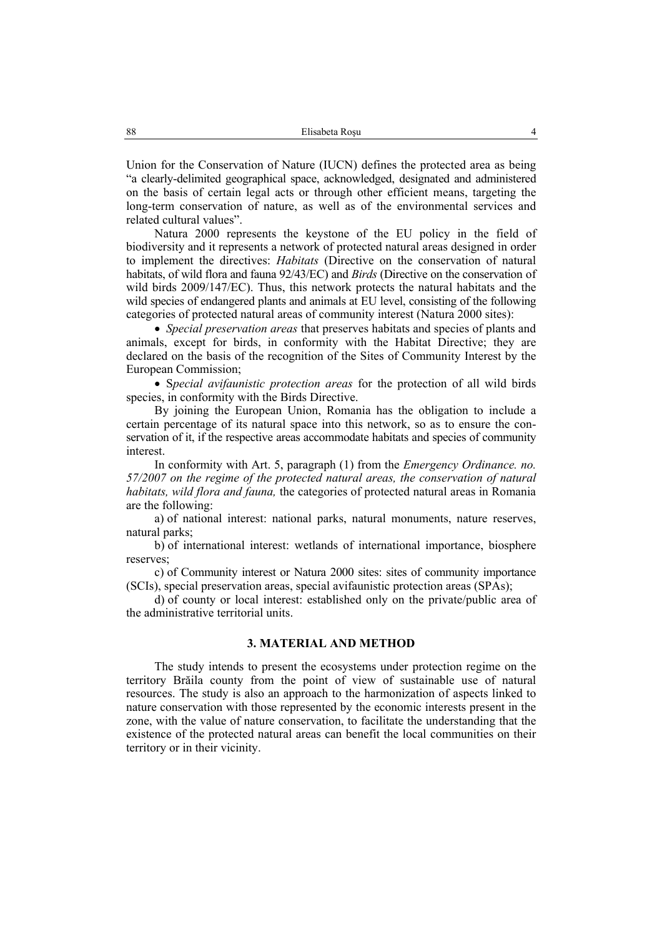Union for the Conservation of Nature (IUCN) defines the protected area as being "a clearly-delimited geographical space, acknowledged, designated and administered on the basis of certain legal acts or through other efficient means, targeting the long-term conservation of nature, as well as of the environmental services and related cultural values".

Natura 2000 represents the keystone of the EU policy in the field of biodiversity and it represents a network of protected natural areas designed in order to implement the directives: *Habitats* (Directive on the conservation of natural habitats, of wild flora and fauna 92/43/EC) and *Birds* (Directive on the conservation of wild birds 2009/147/EC). Thus, this network protects the natural habitats and the wild species of endangered plants and animals at EU level, consisting of the following categories of protected natural areas of community interest (Natura 2000 sites):

• *Special preservation areas* that preserves habitats and species of plants and animals, except for birds, in conformity with the Habitat Directive; they are declared on the basis of the recognition of the Sites of Community Interest by the European Commission;

• S*pecial avifaunistic protection areas* for the protection of all wild birds species, in conformity with the Birds Directive.

By joining the European Union, Romania has the obligation to include a certain percentage of its natural space into this network, so as to ensure the conservation of it, if the respective areas accommodate habitats and species of community interest.

In conformity with Art. 5, paragraph (1) from the *Emergency Ordinance. no. 57/2007 on the regime of the protected natural areas, the conservation of natural habitats, wild flora and fauna,* the categories of protected natural areas in Romania are the following:

a) of national interest: national parks, natural monuments, nature reserves, natural parks;

b) of international interest: wetlands of international importance, biosphere reserves;

c) of Community interest or Natura 2000 sites: sites of community importance (SCIs), special preservation areas, special avifaunistic protection areas (SPAs);

d) of county or local interest: established only on the private/public area of the administrative territorial units.

## **3. MATERIAL AND METHOD**

The study intends to present the ecosystems under protection regime on the territory Brăila county from the point of view of sustainable use of natural resources. The study is also an approach to the harmonization of aspects linked to nature conservation with those represented by the economic interests present in the zone, with the value of nature conservation, to facilitate the understanding that the existence of the protected natural areas can benefit the local communities on their territory or in their vicinity.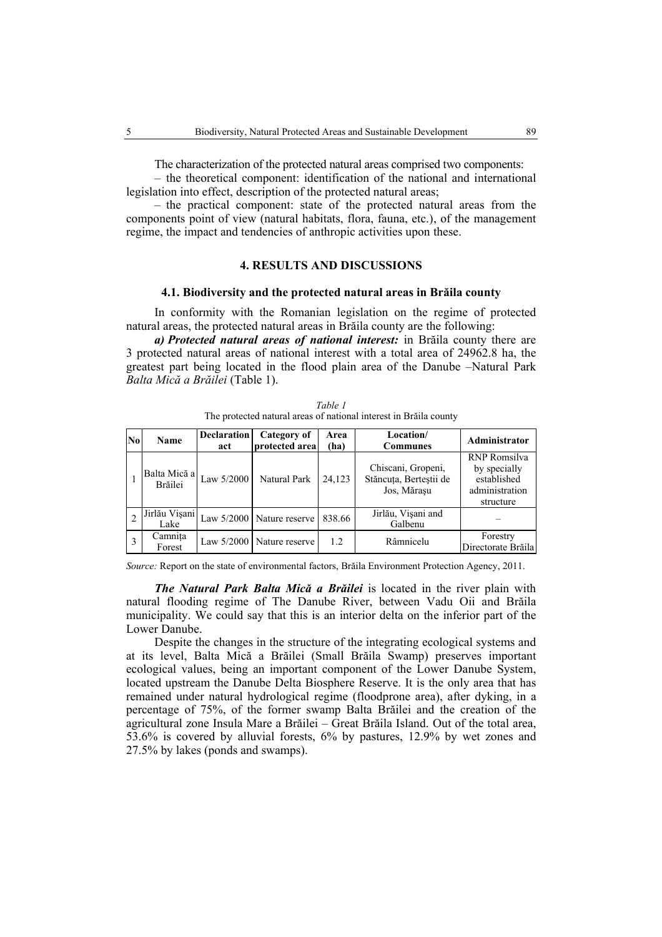The characterization of the protected natural areas comprised two components:

– the theoretical component: identification of the national and international legislation into effect, description of the protected natural areas;

– the practical component: state of the protected natural areas from the components point of view (natural habitats, flora, fauna, etc.), of the management regime, the impact and tendencies of anthropic activities upon these.

## **4. RESULTS AND DISCUSSIONS**

### **4.1. Biodiversity and the protected natural areas in Brăila county**

In conformity with the Romanian legislation on the regime of protected natural areas, the protected natural areas in Brăila county are the following:

*a) Protected natural areas of national interest:* in Brăila county there are 3 protected natural areas of national interest with a total area of 24962.8 ha, the greatest part being located in the flood plain area of the Danube –Natural Park *Balta Mică a Brăilei* (Table 1).

| Table 1                                                           |  |
|-------------------------------------------------------------------|--|
| The protected natural areas of national interest in Brăila county |  |

| $\bf{No}$ | Name                    | <b>Declaration</b><br>act | Category of<br>protected area | Area<br>(ha) | Location/<br><b>Communes</b>                                | Administrator                                                                     |
|-----------|-------------------------|---------------------------|-------------------------------|--------------|-------------------------------------------------------------|-----------------------------------------------------------------------------------|
|           | Balta Mică a<br>Brăilei | Law 5/2000                | Natural Park                  | 24.123       | Chiscani, Gropeni,<br>Stăncuța, Berteștii de<br>Jos, Mărașu | <b>RNP</b> Romsilva<br>by specially<br>established<br>administration<br>structure |
|           | Jirlău Vișani<br>Lake   |                           | Law $5/2000$ Nature reserve   | 838.66       | Jirlău, Vișani and<br>Galbenu                               |                                                                                   |
|           | Camnita<br>Forest       |                           | Law 5/2000   Nature reserve   | 1.2          | Râmnicelu                                                   | Forestry<br>Directorate Brăila                                                    |

*Source:* Report on the state of environmental factors, Brăila Environment Protection Agency, 2011.

*The Natural Park Balta Mică a Brăilei* is located in the river plain with natural flooding regime of The Danube River, between Vadu Oii and Brăila municipality. We could say that this is an interior delta on the inferior part of the Lower Danube.

Despite the changes in the structure of the integrating ecological systems and at its level, Balta Mică a Brăilei (Small Brăila Swamp) preserves important ecological values, being an important component of the Lower Danube System, located upstream the Danube Delta Biosphere Reserve. It is the only area that has remained under natural hydrological regime (floodprone area), after dyking, in a percentage of 75%, of the former swamp Balta Brăilei and the creation of the agricultural zone Insula Mare a Brăilei – Great Brăila Island. Out of the total area, 53.6% is covered by alluvial forests, 6% by pastures, 12.9% by wet zones and 27.5% by lakes (ponds and swamps).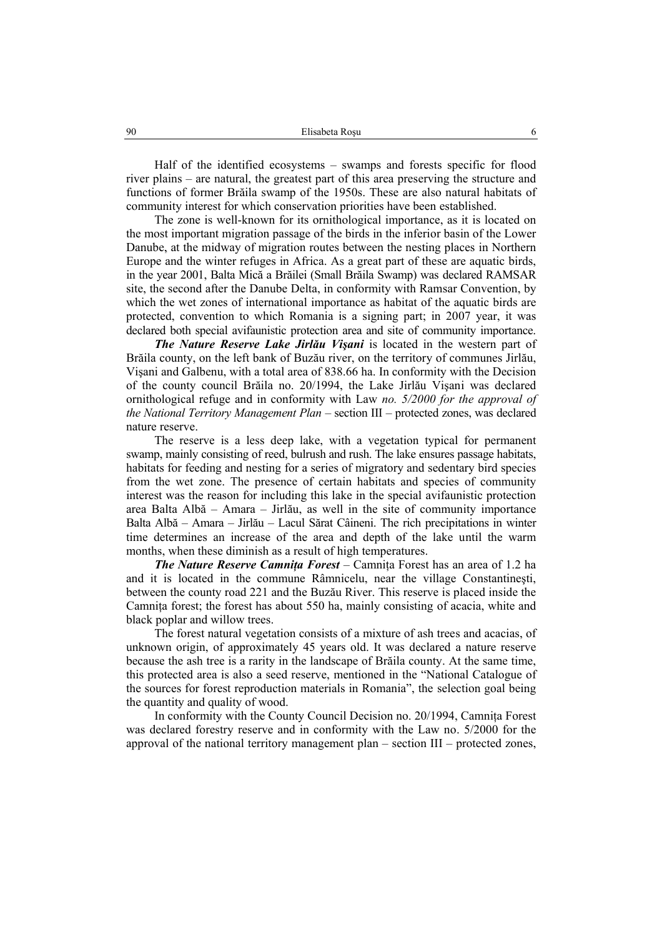Half of the identified ecosystems – swamps and forests specific for flood river plains – are natural, the greatest part of this area preserving the structure and functions of former Brăila swamp of the 1950s. These are also natural habitats of community interest for which conservation priorities have been established.

The zone is well-known for its ornithological importance, as it is located on the most important migration passage of the birds in the inferior basin of the Lower Danube, at the midway of migration routes between the nesting places in Northern Europe and the winter refuges in Africa. As a great part of these are aquatic birds, in the year 2001, Balta Mică a Brăilei (Small Brăila Swamp) was declared RAMSAR site, the second after the Danube Delta, in conformity with Ramsar Convention, by which the wet zones of international importance as habitat of the aquatic birds are protected, convention to which Romania is a signing part; in 2007 year, it was declared both special avifaunistic protection area and site of community importance.

*The Nature Reserve Lake Jirlău Vişani* is located in the western part of Brăila county, on the left bank of Buzău river, on the territory of communes Jirlău, Vişani and Galbenu, with a total area of 838.66 ha. In conformity with the Decision of the county council Brăila no. 20/1994, the Lake Jirlău Vişani was declared ornithological refuge and in conformity with Law *no. 5/2000 for the approval of the National Territory Management Plan* – section III – protected zones, was declared nature reserve.

The reserve is a less deep lake, with a vegetation typical for permanent swamp, mainly consisting of reed, bulrush and rush. The lake ensures passage habitats, habitats for feeding and nesting for a series of migratory and sedentary bird species from the wet zone. The presence of certain habitats and species of community interest was the reason for including this lake in the special avifaunistic protection area Balta Albă – Amara – Jirlău, as well in the site of community importance Balta Albă – Amara – Jirlău – Lacul Sărat Câineni. The rich precipitations in winter time determines an increase of the area and depth of the lake until the warm months, when these diminish as a result of high temperatures.

*The Nature Reserve Camnita Forest* – Camnita Forest has an area of 1.2 ha and it is located in the commune Râmnicelu, near the village Constantineşti, between the county road 221 and the Buzău River. This reserve is placed inside the Camnita forest; the forest has about 550 ha, mainly consisting of acacia, white and black poplar and willow trees.

The forest natural vegetation consists of a mixture of ash trees and acacias, of unknown origin, of approximately 45 years old. It was declared a nature reserve because the ash tree is a rarity in the landscape of Brăila county. At the same time, this protected area is also a seed reserve, mentioned in the "National Catalogue of the sources for forest reproduction materials in Romania", the selection goal being the quantity and quality of wood.

In conformity with the County Council Decision no. 20/1994, Camniţa Forest was declared forestry reserve and in conformity with the Law no. 5/2000 for the approval of the national territory management plan – section III – protected zones,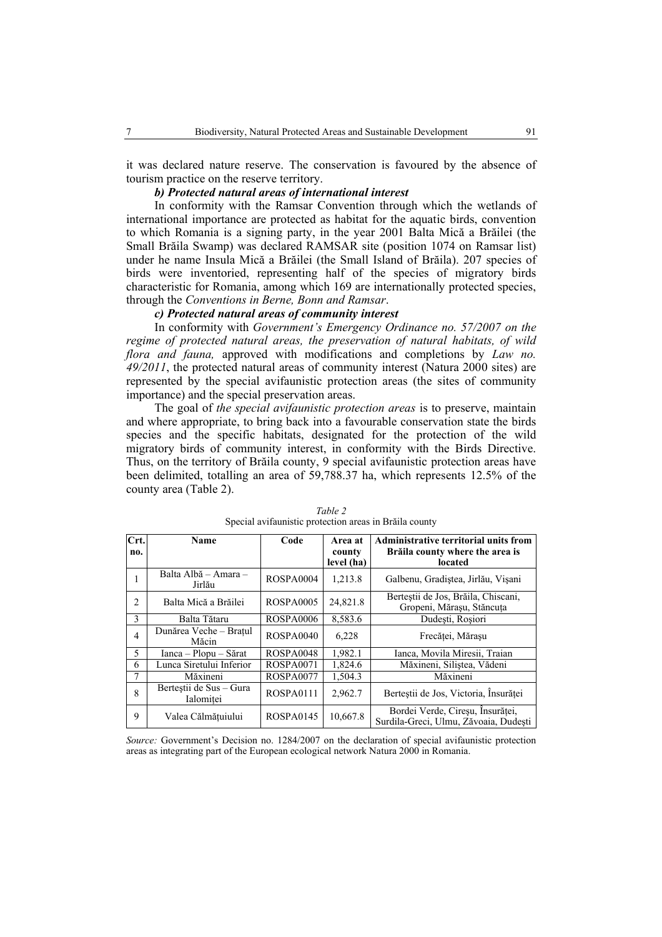it was declared nature reserve. The conservation is favoured by the absence of tourism practice on the reserve territory.

# *b) Protected natural areas of international interest*

In conformity with the Ramsar Convention through which the wetlands of international importance are protected as habitat for the aquatic birds, convention to which Romania is a signing party, in the year 2001 Balta Mică a Brăilei (the Small Brăila Swamp) was declared RAMSAR site (position 1074 on Ramsar list) under he name Insula Mică a Brăilei (the Small Island of Brăila). 207 species of birds were inventoried, representing half of the species of migratory birds characteristic for Romania, among which 169 are internationally protected species, through the *Conventions in Berne, Bonn and Ramsar*.

## *c) Protected natural areas of community interest*

In conformity with *Government's Emergency Ordinance no. 57/2007 on the regime of protected natural areas, the preservation of natural habitats, of wild flora and fauna,* approved with modifications and completions by *Law no. 49/2011*, the protected natural areas of community interest (Natura 2000 sites) are represented by the special avifaunistic protection areas (the sites of community importance) and the special preservation areas.

The goal of *the special avifaunistic protection areas* is to preserve, maintain and where appropriate, to bring back into a favourable conservation state the birds species and the specific habitats, designated for the protection of the wild migratory birds of community interest, in conformity with the Birds Directive. Thus, on the territory of Brăila county, 9 special avifaunistic protection areas have been delimited, totalling an area of 59,788.37 ha, which represents 12.5% of the county area (Table 2).

| Crt.<br>no.    | Name                                 | Code             | Area at<br>county<br>level (ha) | <b>Administrative territorial units from</b><br>Brăila county where the area is<br>located |
|----------------|--------------------------------------|------------------|---------------------------------|--------------------------------------------------------------------------------------------|
| л.             | Balta Albă - Amara -<br>Jirlău       | ROSPA0004        | 1,213.8                         | Galbenu, Gradistea, Jirlău, Vișani                                                         |
| $\overline{2}$ | Balta Mică a Brăilei                 | <b>ROSPA0005</b> | 24,821.8                        | Bertestii de Jos, Brăila, Chiscani,<br>Gropeni, Mărasu, Stăncuta                           |
| 3              | Balta Tătaru                         | ROSPA0006        | 8,583.6                         | Dudesti, Rosiori                                                                           |
| $\overline{4}$ | Dunărea Veche – Bratul<br>Măcin      | ROSPA0040        | 6,228                           | Frecătei, Mărasu                                                                           |
| 5              | Ianca – Plopu – Sărat                | ROSPA0048        | 1,982.1                         | Ianca, Movila Miresii, Traian                                                              |
| 6              | Lunca Siretului Inferior             | ROSPA0071        | 1,824.6                         | Măxineni, Silistea, Vădeni                                                                 |
| 7              | Măxineni                             | ROSPA0077        | 1,504.3                         | Măxineni                                                                                   |
| 8              | Berteștii de Sus – Gura<br>Ialomitei | ROSPA0111        | 2,962.7                         | Bertestii de Jos, Victoria, Insurătei                                                      |
| 9              | Valea Călmătuiului                   | ROSPA0145        | 10,667.8                        | Bordei Verde, Cireșu, Insurăței,<br>Surdila-Greci, Ulmu, Zăvoaia, Dudesti                  |

*Table 2*  Special avifaunistic protection areas in Brăila county

*Source:* Government's Decision no. 1284/2007 on the declaration of special avifaunistic protection areas as integrating part of the European ecological network Natura 2000 in Romania.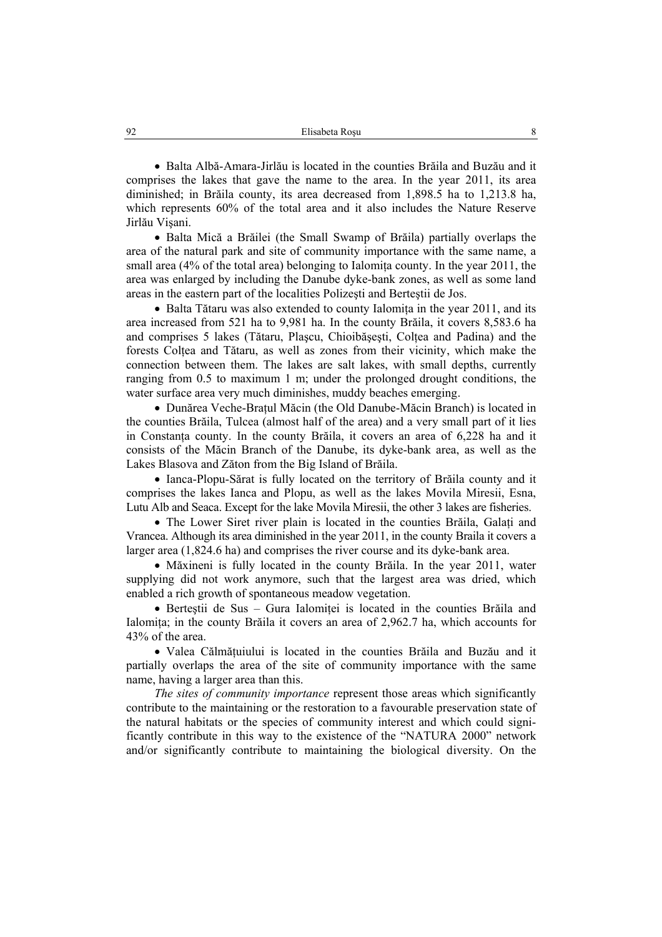• Balta Albă-Amara-Jirlău is located in the counties Brăila and Buzău and it comprises the lakes that gave the name to the area. In the year 2011, its area diminished; in Brăila county, its area decreased from 1,898.5 ha to 1,213.8 ha, which represents 60% of the total area and it also includes the Nature Reserve Jirlău Vişani.

• Balta Mică a Brăilei (the Small Swamp of Brăila) partially overlaps the area of the natural park and site of community importance with the same name, a small area  $(4\%$  of the total area) belonging to Ialomita county. In the year 2011, the area was enlarged by including the Danube dyke-bank zones, as well as some land areas in the eastern part of the localities Polizeşti and Berteştii de Jos.

• Balta Tătaru was also extended to county Ialomita in the year 2011, and its area increased from 521 ha to 9,981 ha. In the county Brăila, it covers 8,583.6 ha and comprises 5 lakes (Tătaru, Plascu, Chioibăsesti, Coltea and Padina) and the forests Coltea and Tătaru, as well as zones from their vicinity, which make the connection between them. The lakes are salt lakes, with small depths, currently ranging from 0.5 to maximum 1 m; under the prolonged drought conditions, the water surface area very much diminishes, muddy beaches emerging.

• Dunărea Veche-Braţul Măcin (the Old Danube-Măcin Branch) is located in the counties Brăila, Tulcea (almost half of the area) and a very small part of it lies in Constanta county. In the county Brăila, it covers an area of 6,228 ha and it consists of the Măcin Branch of the Danube, its dyke-bank area, as well as the Lakes Blasova and Zăton from the Big Island of Brăila.

• Ianca-Plopu-Sărat is fully located on the territory of Brăila county and it comprises the lakes Ianca and Plopu, as well as the lakes Movila Miresii, Esna, Lutu Alb and Seaca. Except for the lake Movila Miresii, the other 3 lakes are fisheries.

• The Lower Siret river plain is located in the counties Brăila, Galați and Vrancea. Although its area diminished in the year 2011, in the county Braila it covers a larger area (1,824.6 ha) and comprises the river course and its dyke-bank area.

• Măxineni is fully located in the county Brăila. In the year 2011, water supplying did not work anymore, such that the largest area was dried, which enabled a rich growth of spontaneous meadow vegetation.

• Bertestii de Sus – Gura Ialomitei is located in the counties Brăila and Ialomita; in the county Brăila it covers an area of 2,962.7 ha, which accounts for 43% of the area.

• Valea Călmăţuiului is located in the counties Brăila and Buzău and it partially overlaps the area of the site of community importance with the same name, having a larger area than this.

*The sites of community importance* represent those areas which significantly contribute to the maintaining or the restoration to a favourable preservation state of the natural habitats or the species of community interest and which could significantly contribute in this way to the existence of the "NATURA 2000" network and/or significantly contribute to maintaining the biological diversity. On the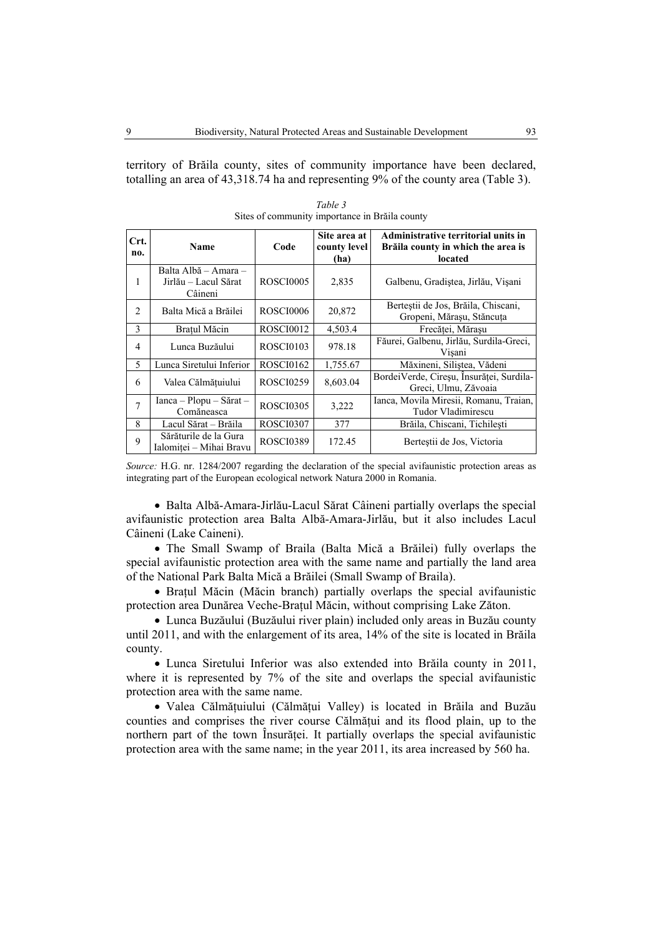territory of Brăila county, sites of community importance have been declared, totalling an area of 43,318.74 ha and representing 9% of the county area (Table 3).

| Crt.<br>no.    | Name                                                    | Code             | Site area at<br>county level<br>(ha) | Administrative territorial units in<br>Brăila county in which the area is<br>located |
|----------------|---------------------------------------------------------|------------------|--------------------------------------|--------------------------------------------------------------------------------------|
| 1              | Balta Albă – Amara –<br>Jirlău – Lacul Sărat<br>Câineni | <b>ROSCI0005</b> | 2,835                                | Galbenu, Gradistea, Jirlău, Vișani                                                   |
| 2              | Balta Mică a Brăilei                                    | <b>ROSCI0006</b> | 20,872                               | Bertestii de Jos, Brăila, Chiscani,<br>Gropeni, Mărașu, Stăncuța                     |
| 3              | Bratul Măcin                                            | <b>ROSCI0012</b> | 4,503.4                              | Frecătei, Mărasu                                                                     |
| 4              | Lunca Buzăului                                          | ROSCI0103        | 978.18                               | Făurei, Galbenu, Jirlău, Surdila-Greci,<br>Visani                                    |
| 5              | Lunca Siretului Inferior                                | ROSCI0162        | 1,755.67                             | Măxineni, Siliștea, Vădeni                                                           |
| 6              | Valea Călmățuiului                                      | <b>ROSCI0259</b> | 8,603.04                             | BordeiVerde, Cireșu, Însurăței, Surdila-<br>Greci, Ulmu, Zăvoaia                     |
| $\overline{7}$ | $Ianca - Plopu - Sărat -$<br>Comăneasca                 | <b>ROSCI0305</b> | 3,222                                | Ianca, Movila Miresii, Romanu, Traian,<br>Tudor Vladimirescu                         |
| 8              | Lacul Sărat – Brăila                                    | <b>ROSCI0307</b> | 377                                  | Brăila, Chiscani, Tichilești                                                         |
| 9              | Sărăturile de la Gura<br>Ialomiței - Mihai Bravu        | <b>ROSCI0389</b> | 172.45                               | Berteștii de Jos, Victoria                                                           |

*Table 3*  Sites of community importance in Brăila county

*Source:* H.G. nr. 1284/2007 regarding the declaration of the special avifaunistic protection areas as integrating part of the European ecological network Natura 2000 in Romania.

• Balta Albă-Amara-Jirlău-Lacul Sărat Câineni partially overlaps the special avifaunistic protection area Balta Albă-Amara-Jirlău, but it also includes Lacul Câineni (Lake Caineni).

• The Small Swamp of Braila (Balta Mică a Brăilei) fully overlaps the special avifaunistic protection area with the same name and partially the land area of the National Park Balta Mică a Brăilei (Small Swamp of Braila).

• Bratul Măcin (Măcin branch) partially overlaps the special avifaunistic protection area Dunărea Veche-Bratul Măcin, without comprising Lake Zăton.

• Lunca Buzăului (Buzăului river plain) included only areas in Buzău county until 2011, and with the enlargement of its area, 14% of the site is located in Brăila county.

• Lunca Siretului Inferior was also extended into Brăila county in 2011, where it is represented by 7% of the site and overlaps the special avifaunistic protection area with the same name.

• Valea Călmăţuiului (Călmăţui Valley) is located in Brăila and Buzău counties and comprises the river course Călmățui and its flood plain, up to the northern part of the town Insurăței. It partially overlaps the special avifaunistic protection area with the same name; in the year 2011, its area increased by 560 ha.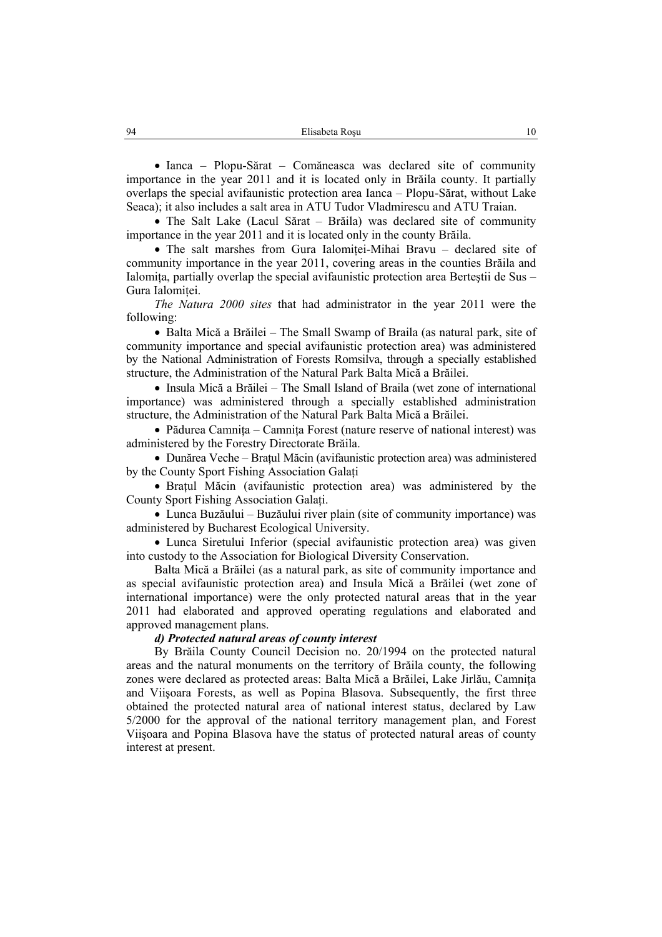• Ianca – Plopu-Sărat – Comăneasca was declared site of community importance in the year 2011 and it is located only in Brăila county. It partially overlaps the special avifaunistic protection area Ianca – Plopu-Sărat, without Lake Seaca); it also includes a salt area in ATU Tudor Vladmirescu and ATU Traian.

• The Salt Lake (Lacul Sărat – Brăila) was declared site of community importance in the year 2011 and it is located only in the county Brăila.

• The salt marshes from Gura Ialomitei-Mihai Bravu – declared site of community importance in the year 2011, covering areas in the counties Brăila and Ialomita, partially overlap the special avifaunistic protection area Bertestii de Sus – Gura Ialomitei.

*The Natura 2000 sites* that had administrator in the year 2011 were the following:

• Balta Mică a Brăilei – The Small Swamp of Braila (as natural park, site of community importance and special avifaunistic protection area) was administered by the National Administration of Forests Romsilva, through a specially established structure, the Administration of the Natural Park Balta Mică a Brăilei.

• Insula Mică a Brăilei – The Small Island of Braila (wet zone of international importance) was administered through a specially established administration structure, the Administration of the Natural Park Balta Mică a Brăilei.

• Pădurea Camniţa – Camniţa Forest (nature reserve of national interest) was administered by the Forestry Directorate Brăila.

• Dunărea Veche – Bratul Măcin (avifaunistic protection area) was administered by the County Sport Fishing Association Galati

• Bratul Măcin (avifaunistic protection area) was administered by the County Sport Fishing Association Galaţi.

• Lunca Buzăului – Buzăului river plain (site of community importance) was administered by Bucharest Ecological University.

• Lunca Siretului Inferior (special avifaunistic protection area) was given into custody to the Association for Biological Diversity Conservation.

Balta Mică a Brăilei (as a natural park, as site of community importance and as special avifaunistic protection area) and Insula Mică a Brăilei (wet zone of international importance) were the only protected natural areas that in the year 2011 had elaborated and approved operating regulations and elaborated and approved management plans.

## *d) Protected natural areas of county interest*

By Brăila County Council Decision no. 20/1994 on the protected natural areas and the natural monuments on the territory of Brăila county, the following zones were declared as protected areas: Balta Mică a Brăilei, Lake Jirlău, Camnita and Viişoara Forests, as well as Popina Blasova. Subsequently, the first three obtained the protected natural area of national interest status, declared by Law 5/2000 for the approval of the national territory management plan, and Forest Viişoara and Popina Blasova have the status of protected natural areas of county interest at present.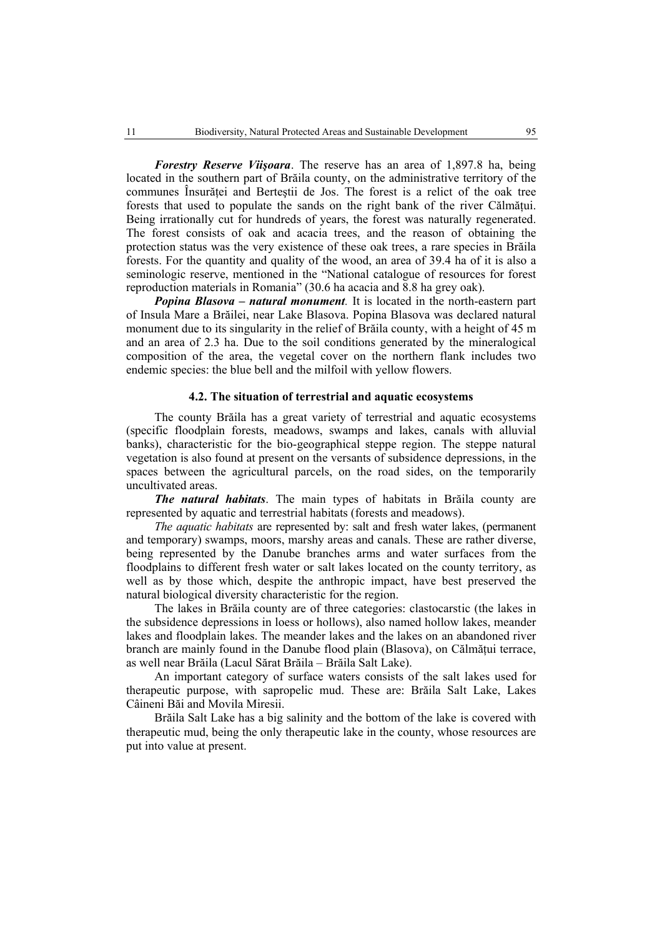*Forestry Reserve Viişoara*. The reserve has an area of 1,897.8 ha, being located in the southern part of Brăila county, on the administrative territory of the communes Însurătei and Bertestii de Jos. The forest is a relict of the oak tree forests that used to populate the sands on the right bank of the river Călmătui. Being irrationally cut for hundreds of years, the forest was naturally regenerated. The forest consists of oak and acacia trees, and the reason of obtaining the protection status was the very existence of these oak trees, a rare species in Brăila forests. For the quantity and quality of the wood, an area of 39.4 ha of it is also a seminologic reserve, mentioned in the "National catalogue of resources for forest reproduction materials in Romania" (30.6 ha acacia and 8.8 ha grey oak).

*Popina Blasova – natural monument.* It is located in the north-eastern part of Insula Mare a Brăilei, near Lake Blasova. Popina Blasova was declared natural monument due to its singularity in the relief of Brăila county, with a height of 45 m and an area of 2.3 ha. Due to the soil conditions generated by the mineralogical composition of the area, the vegetal cover on the northern flank includes two endemic species: the blue bell and the milfoil with yellow flowers.

### **4.2. The situation of terrestrial and aquatic ecosystems**

The county Brăila has a great variety of terrestrial and aquatic ecosystems (specific floodplain forests, meadows, swamps and lakes, canals with alluvial banks), characteristic for the bio-geographical steppe region. The steppe natural vegetation is also found at present on the versants of subsidence depressions, in the spaces between the agricultural parcels, on the road sides, on the temporarily uncultivated areas.

*The natural habitats*. The main types of habitats in Brăila county are represented by aquatic and terrestrial habitats (forests and meadows).

*The aquatic habitats* are represented by: salt and fresh water lakes, (permanent and temporary) swamps, moors, marshy areas and canals. These are rather diverse, being represented by the Danube branches arms and water surfaces from the floodplains to different fresh water or salt lakes located on the county territory, as well as by those which, despite the anthropic impact, have best preserved the natural biological diversity characteristic for the region.

The lakes in Brăila county are of three categories: clastocarstic (the lakes in the subsidence depressions in loess or hollows), also named hollow lakes, meander lakes and floodplain lakes. The meander lakes and the lakes on an abandoned river branch are mainly found in the Danube flood plain (Blasova), on Călmăţui terrace, as well near Brăila (Lacul Sărat Brăila – Brăila Salt Lake).

An important category of surface waters consists of the salt lakes used for therapeutic purpose, with sapropelic mud. These are: Brăila Salt Lake, Lakes Câineni Băi and Movila Miresii.

Brăila Salt Lake has a big salinity and the bottom of the lake is covered with therapeutic mud, being the only therapeutic lake in the county, whose resources are put into value at present.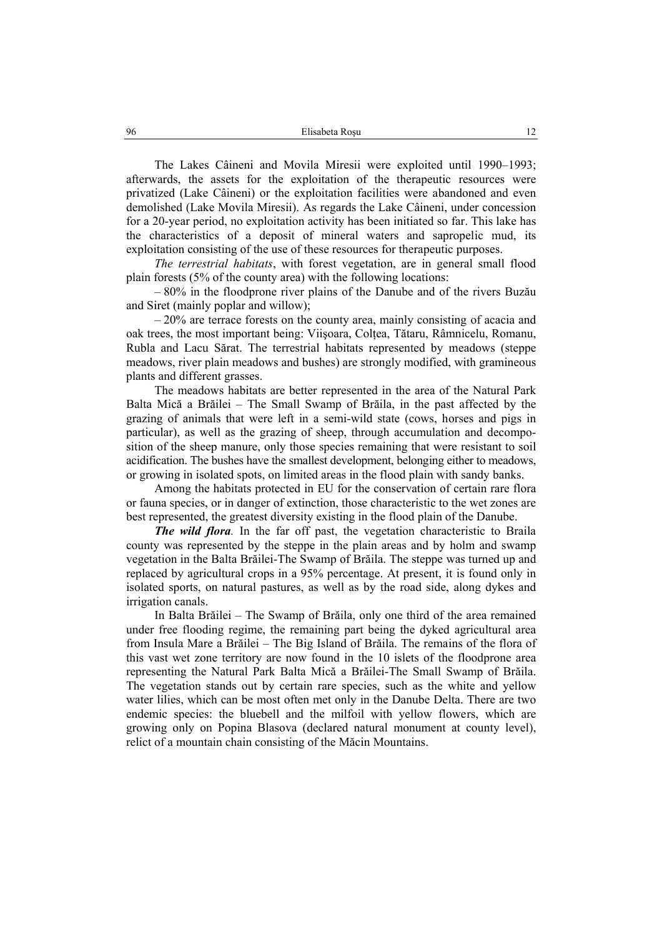The Lakes Câineni and Movila Miresii were exploited until 1990–1993; afterwards, the assets for the exploitation of the therapeutic resources were privatized (Lake Câineni) or the exploitation facilities were abandoned and even demolished (Lake Movila Miresii). As regards the Lake Câineni, under concession for a 20-year period, no exploitation activity has been initiated so far. This lake has the characteristics of a deposit of mineral waters and sapropelic mud, its exploitation consisting of the use of these resources for therapeutic purposes.

*The terrestrial habitats*, with forest vegetation, are in general small flood plain forests (5% of the county area) with the following locations:

– 80% in the floodprone river plains of the Danube and of the rivers Buzău and Siret (mainly poplar and willow);

– 20% are terrace forests on the county area, mainly consisting of acacia and oak trees, the most important being: Viişoara, Colţea, Tătaru, Râmnicelu, Romanu, Rubla and Lacu Sărat. The terrestrial habitats represented by meadows (steppe meadows, river plain meadows and bushes) are strongly modified, with gramineous plants and different grasses.

The meadows habitats are better represented in the area of the Natural Park Balta Mică a Brăilei – The Small Swamp of Brăila, in the past affected by the grazing of animals that were left in a semi-wild state (cows, horses and pigs in particular), as well as the grazing of sheep, through accumulation and decomposition of the sheep manure, only those species remaining that were resistant to soil acidification. The bushes have the smallest development, belonging either to meadows, or growing in isolated spots, on limited areas in the flood plain with sandy banks.

Among the habitats protected in EU for the conservation of certain rare flora or fauna species, or in danger of extinction, those characteristic to the wet zones are best represented, the greatest diversity existing in the flood plain of the Danube.

*The wild flora.* In the far off past, the vegetation characteristic to Braila county was represented by the steppe in the plain areas and by holm and swamp vegetation in the Balta Brăilei-The Swamp of Brăila. The steppe was turned up and replaced by agricultural crops in a 95% percentage. At present, it is found only in isolated sports, on natural pastures, as well as by the road side, along dykes and irrigation canals.

In Balta Brăilei – The Swamp of Brăila, only one third of the area remained under free flooding regime, the remaining part being the dyked agricultural area from Insula Mare a Brăilei – The Big Island of Brăila. The remains of the flora of this vast wet zone territory are now found in the 10 islets of the floodprone area representing the Natural Park Balta Mică a Brăilei-The Small Swamp of Brăila. The vegetation stands out by certain rare species, such as the white and yellow water lilies, which can be most often met only in the Danube Delta. There are two endemic species: the bluebell and the milfoil with yellow flowers, which are growing only on Popina Blasova (declared natural monument at county level), relict of a mountain chain consisting of the Măcin Mountains.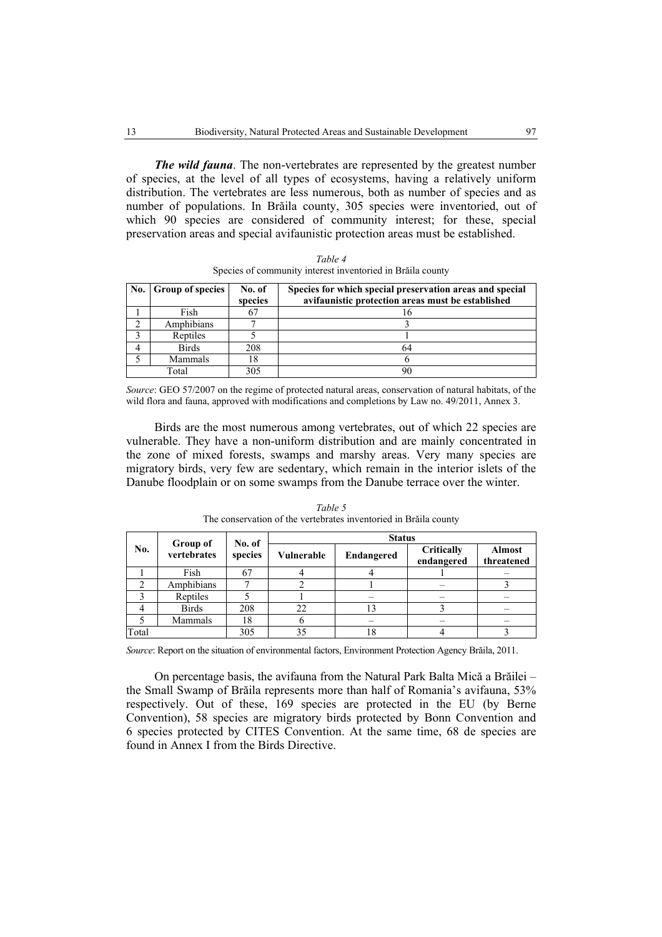*The wild fauna*. The non-vertebrates are represented by the greatest number of species, at the level of all types of ecosystems, having a relatively uniform distribution. The vertebrates are less numerous, both as number of species and as number of populations. In Brăila county, 305 species were inventoried, out of which 90 species are considered of community interest; for these, special preservation areas and special avifaunistic protection areas must be established.

| No. Group of species<br>No. of |              |         | Species for which special preservation areas and special |  |
|--------------------------------|--------------|---------|----------------------------------------------------------|--|
|                                |              | species | avifaunistic protection areas must be established        |  |
|                                | Fish         |         |                                                          |  |
|                                | Amphibians   |         |                                                          |  |
|                                | Reptiles     |         |                                                          |  |
|                                | <b>Birds</b> | 208     |                                                          |  |
|                                | Mammals      |         |                                                          |  |
|                                | Total        | 305     |                                                          |  |

*Table 4*  Species of community interest inventoried in Brăila county

*Source*: GEO 57/2007 on the regime of protected natural areas, conservation of natural habitats, of the wild flora and fauna, approved with modifications and completions by Law no. 49/2011, Annex 3.

Birds are the most numerous among vertebrates, out of which 22 species are vulnerable. They have a non-uniform distribution and are mainly concentrated in the zone of mixed forests, swamps and marshy areas. Very many species are migratory birds, very few are sedentary, which remain in the interior islets of the Danube floodplain or on some swamps from the Danube terrace over the winter.

|       | Group of     | No. of  | <b>Status</b> |                   |                          |                             |
|-------|--------------|---------|---------------|-------------------|--------------------------|-----------------------------|
| No.   | vertebrates  | species | Vulnerable    | <b>Endangered</b> | Critically<br>endangered | <b>Almost</b><br>threatened |
|       | Fish         | 67      |               |                   |                          |                             |
| ∍     | Amphibians   |         |               |                   |                          |                             |
|       | Reptiles     |         |               |                   |                          |                             |
|       | <b>Birds</b> | 208     | 22            |                   |                          |                             |
|       | Mammals      | 18      | n             |                   |                          |                             |
| Total |              | 305     | 35            | 18                |                          |                             |

*Table 5*  The conservation of the vertebrates inventoried in Brăila county

*Source*: Report on the situation of environmental factors, Environment Protection Agency Brăila, 2011.

On percentage basis, the avifauna from the Natural Park Balta Mică a Brăilei – the Small Swamp of Brăila represents more than half of Romania's avifauna, 53% respectively. Out of these, 169 species are protected in the EU (by Berne Convention), 58 species are migratory birds protected by Bonn Convention and 6 species protected by CITES Convention. At the same time, 68 de species are found in Annex I from the Birds Directive.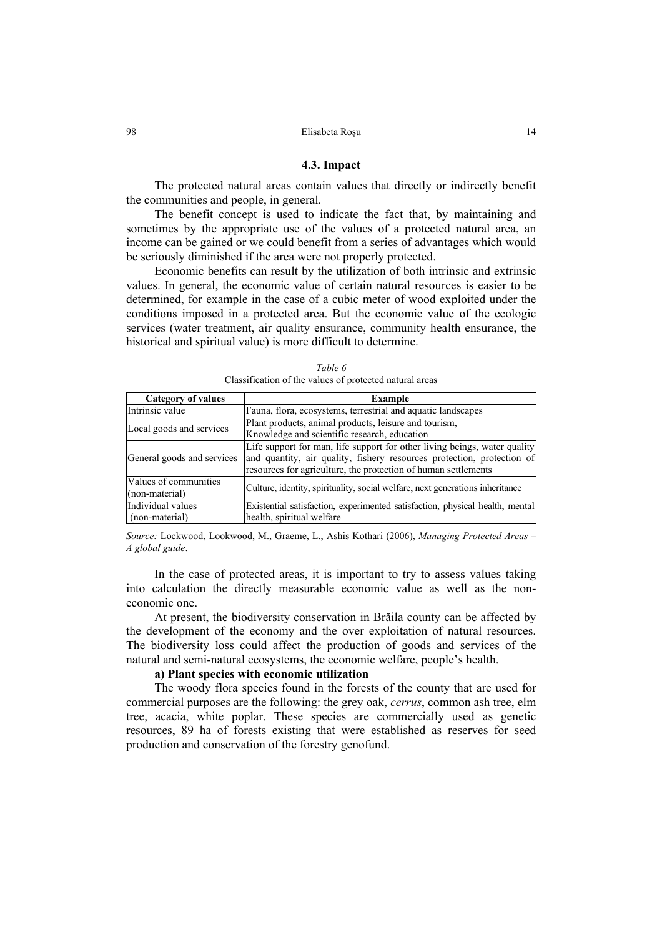#### **4.3. Impact**

The protected natural areas contain values that directly or indirectly benefit the communities and people, in general.

The benefit concept is used to indicate the fact that, by maintaining and sometimes by the appropriate use of the values of a protected natural area, an income can be gained or we could benefit from a series of advantages which would be seriously diminished if the area were not properly protected.

Economic benefits can result by the utilization of both intrinsic and extrinsic values. In general, the economic value of certain natural resources is easier to be determined, for example in the case of a cubic meter of wood exploited under the conditions imposed in a protected area. But the economic value of the ecologic services (water treatment, air quality ensurance, community health ensurance, the historical and spiritual value) is more difficult to determine.

| <b>Category of values</b>  | Example                                                                       |
|----------------------------|-------------------------------------------------------------------------------|
| Intrinsic value            | Fauna, flora, ecosystems, terrestrial and aquatic landscapes                  |
| Local goods and services   | Plant products, animal products, leisure and tourism,                         |
|                            | Knowledge and scientific research, education                                  |
|                            | Life support for man, life support for other living beings, water quality     |
| General goods and services | and quantity, air quality, fishery resources protection, protection of        |
|                            | resources for agriculture, the protection of human settlements                |
| Values of communities      | Culture, identity, spirituality, social welfare, next generations inheritance |
| (non-material)             |                                                                               |
| Individual values          | Existential satisfaction, experimented satisfaction, physical health, mental  |
| (non-material)             | health, spiritual welfare                                                     |

*Table 6*  Classification of the values of protected natural areas

*Source:* Lockwood, Lookwood, M., Graeme, L., Ashis Kothari (2006), *Managing Protected Areas – A global guide*.

In the case of protected areas, it is important to try to assess values taking into calculation the directly measurable economic value as well as the noneconomic one.

At present, the biodiversity conservation in Brăila county can be affected by the development of the economy and the over exploitation of natural resources. The biodiversity loss could affect the production of goods and services of the natural and semi-natural ecosystems, the economic welfare, people's health.

## **a) Plant species with economic utilization**

The woody flora species found in the forests of the county that are used for commercial purposes are the following: the grey oak, *cerrus*, common ash tree, elm tree, acacia, white poplar. These species are commercially used as genetic resources, 89 ha of forests existing that were established as reserves for seed production and conservation of the forestry genofund.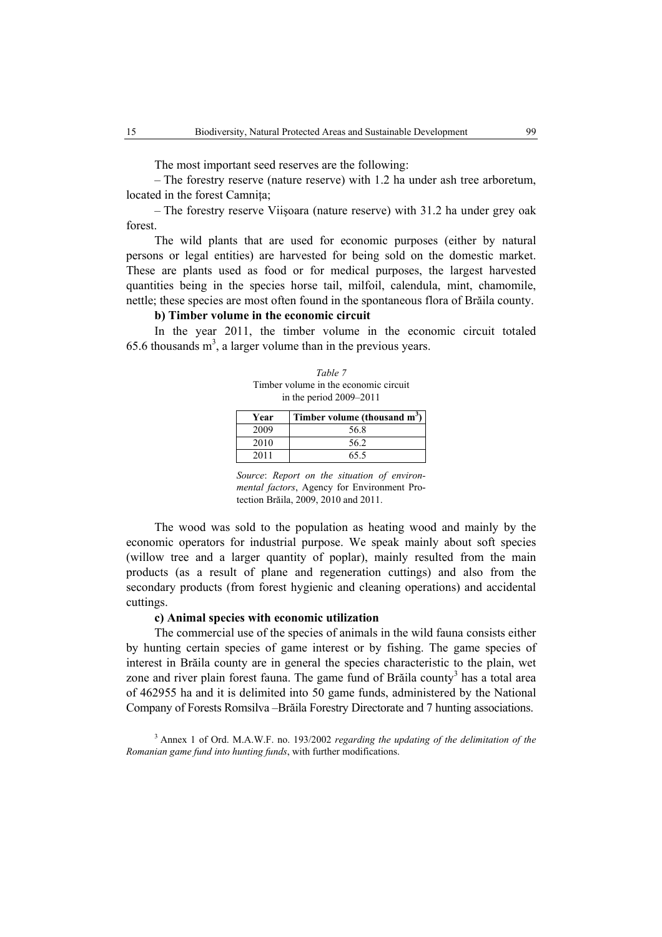The most important seed reserves are the following:

– The forestry reserve (nature reserve) with 1.2 ha under ash tree arboretum, located in the forest Camnita;

– The forestry reserve Viişoara (nature reserve) with 31.2 ha under grey oak forest.

The wild plants that are used for economic purposes (either by natural persons or legal entities) are harvested for being sold on the domestic market. These are plants used as food or for medical purposes, the largest harvested quantities being in the species horse tail, milfoil, calendula, mint, chamomile, nettle; these species are most often found in the spontaneous flora of Brăila county.

## **b) Timber volume in the economic circuit**

In the year 2011, the timber volume in the economic circuit totaled 65.6 thousands  $m<sup>3</sup>$ , a larger volume than in the previous years.

*Table 7*  Timber volume in the economic circuit in the period 2009–2011

| Year | Timber volume (thousand m <sup>3</sup> ) |
|------|------------------------------------------|
| 2009 | 56.8                                     |
| 2010 | 56.2                                     |
| 2011 | 65.5                                     |

*Source*: *Report on the situation of environmental factors*, Agency for Environment Protection Brăila, 2009, 2010 and 2011.

The wood was sold to the population as heating wood and mainly by the economic operators for industrial purpose. We speak mainly about soft species (willow tree and a larger quantity of poplar), mainly resulted from the main products (as a result of plane and regeneration cuttings) and also from the secondary products (from forest hygienic and cleaning operations) and accidental cuttings.

## **c) Animal species with economic utilization**

The commercial use of the species of animals in the wild fauna consists either by hunting certain species of game interest or by fishing. The game species of interest in Brăila county are in general the species characteristic to the plain, wet zone and river plain forest fauna. The game fund of Brăila county<sup>3</sup> has a total area of 462955 ha and it is delimited into 50 game funds, administered by the National Company of Forests Romsilva –Brăila Forestry Directorate and 7 hunting associations.

3 Annex 1 of Ord. M.A.W.F. no. 193/2002 *regarding the updating of the delimitation of the Romanian game fund into hunting funds*, with further modifications.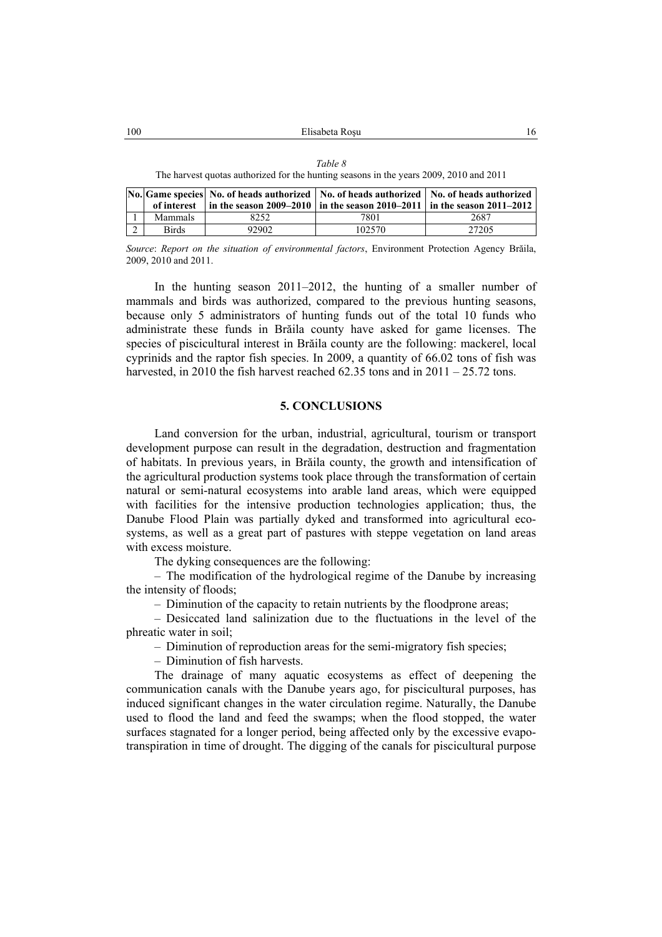| ani |  |
|-----|--|
|-----|--|

The harvest quotas authorized for the hunting seasons in the years 2009, 2010 and 2011

|                |                |       | No. Game species No. of heads authorized No. of heads authorized No. of heads authorized |       |  |
|----------------|----------------|-------|------------------------------------------------------------------------------------------|-------|--|
|                |                |       | of interest in the season 2009–2010 in the season 2010–2011 in the season 2011–2012      |       |  |
|                | <b>Mammals</b> | 8252. | 7801                                                                                     | 2687  |  |
| $\overline{2}$ | <b>Birds</b>   | 92902 | 102570                                                                                   | 27205 |  |

*Source*: *Report on the situation of environmental factors*, Environment Protection Agency Brăila, 2009, 2010 and 2011.

In the hunting season 2011–2012, the hunting of a smaller number of mammals and birds was authorized, compared to the previous hunting seasons, because only 5 administrators of hunting funds out of the total 10 funds who administrate these funds in Brăila county have asked for game licenses. The species of piscicultural interest in Brăila county are the following: mackerel, local cyprinids and the raptor fish species. In 2009, a quantity of 66.02 tons of fish was harvested, in 2010 the fish harvest reached  $62.35$  tons and in  $2011 - 25.72$  tons.

#### **5. CONCLUSIONS**

Land conversion for the urban, industrial, agricultural, tourism or transport development purpose can result in the degradation, destruction and fragmentation of habitats. In previous years, in Brăila county, the growth and intensification of the agricultural production systems took place through the transformation of certain natural or semi-natural ecosystems into arable land areas, which were equipped with facilities for the intensive production technologies application; thus, the Danube Flood Plain was partially dyked and transformed into agricultural ecosystems, as well as a great part of pastures with steppe vegetation on land areas with excess moisture.

The dyking consequences are the following:

– The modification of the hydrological regime of the Danube by increasing the intensity of floods;

– Diminution of the capacity to retain nutrients by the floodprone areas;

– Desiccated land salinization due to the fluctuations in the level of the phreatic water in soil;

– Diminution of reproduction areas for the semi-migratory fish species;

– Diminution of fish harvests.

The drainage of many aquatic ecosystems as effect of deepening the communication canals with the Danube years ago, for piscicultural purposes, has induced significant changes in the water circulation regime. Naturally, the Danube used to flood the land and feed the swamps; when the flood stopped, the water surfaces stagnated for a longer period, being affected only by the excessive evapotranspiration in time of drought. The digging of the canals for piscicultural purpose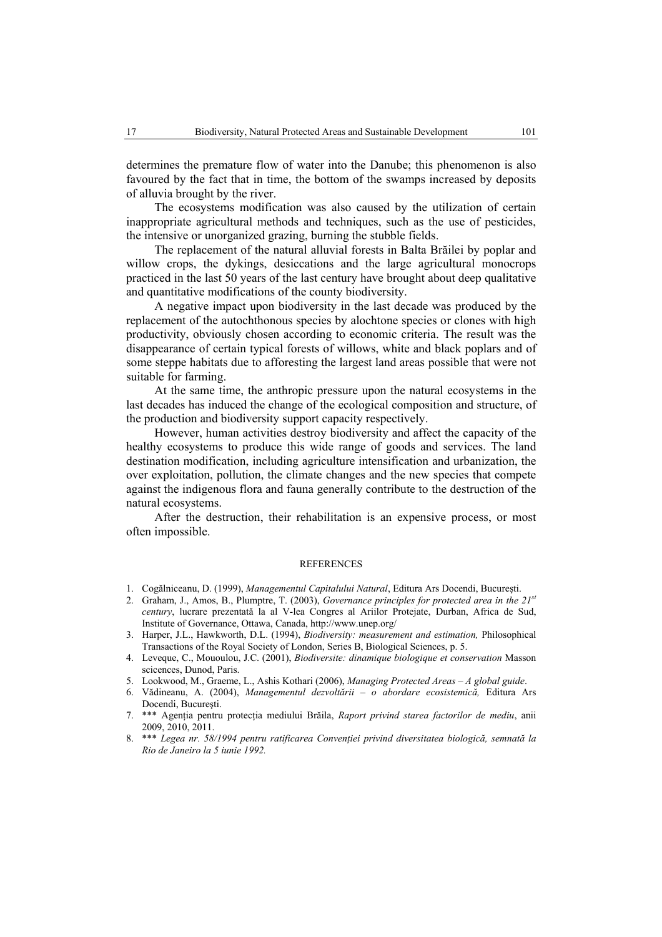determines the premature flow of water into the Danube; this phenomenon is also favoured by the fact that in time, the bottom of the swamps increased by deposits of alluvia brought by the river.

The ecosystems modification was also caused by the utilization of certain inappropriate agricultural methods and techniques, such as the use of pesticides, the intensive or unorganized grazing, burning the stubble fields.

The replacement of the natural alluvial forests in Balta Brăilei by poplar and willow crops, the dykings, desiccations and the large agricultural monocrops practiced in the last 50 years of the last century have brought about deep qualitative and quantitative modifications of the county biodiversity.

A negative impact upon biodiversity in the last decade was produced by the replacement of the autochthonous species by alochtone species or clones with high productivity, obviously chosen according to economic criteria. The result was the disappearance of certain typical forests of willows, white and black poplars and of some steppe habitats due to afforesting the largest land areas possible that were not suitable for farming.

At the same time, the anthropic pressure upon the natural ecosystems in the last decades has induced the change of the ecological composition and structure, of the production and biodiversity support capacity respectively.

However, human activities destroy biodiversity and affect the capacity of the healthy ecosystems to produce this wide range of goods and services. The land destination modification, including agriculture intensification and urbanization, the over exploitation, pollution, the climate changes and the new species that compete against the indigenous flora and fauna generally contribute to the destruction of the natural ecosystems.

After the destruction, their rehabilitation is an expensive process, or most often impossible.

#### **REFERENCES**

- 1. Cogălniceanu, D. (1999), *Managementul Capitalului Natural*, Editura Ars Docendi, Bucureşti.
- 2. Graham, J., Amos, B., Plumptre, T. (2003), *Governance principles for protected area in the 21st century*, lucrare prezentată la al V-lea Congres al Ariilor Protejate, Durban, Africa de Sud, Institute of Governance, Ottawa, Canada, http://www.unep.org/
- 3. Harper, J.L., Hawkworth, D.L. (1994), *Biodiversity: measurement and estimation,* Philosophical Transactions of the Royal Society of London, Series B, Biological Sciences, p. 5.
- 4. Leveque, C., Mououlou, J.C. (2001), *Biodiversite: dinamique biologique et conservation* Masson scicences, Dunod, Paris.
- 5. Lookwood, M., Graeme, L., Ashis Kothari (2006), *Managing Protected Areas A global guide*.
- 6. Vădineanu, A. (2004), *Managementul dezvoltării o abordare ecosistemică,* Editura Ars Docendi, Bucureşti.
- 7. \*\*\* Agenţia pentru protecţia mediului Brăila, *Raport privind starea factorilor de mediu*, anii 2009, 2010, 2011.
- 8. \*\*\* *Legea nr. 58/1994 pentru ratificarea Convenţiei privind diversitatea biologică, semnată la Rio de Janeiro la 5 iunie 1992.*